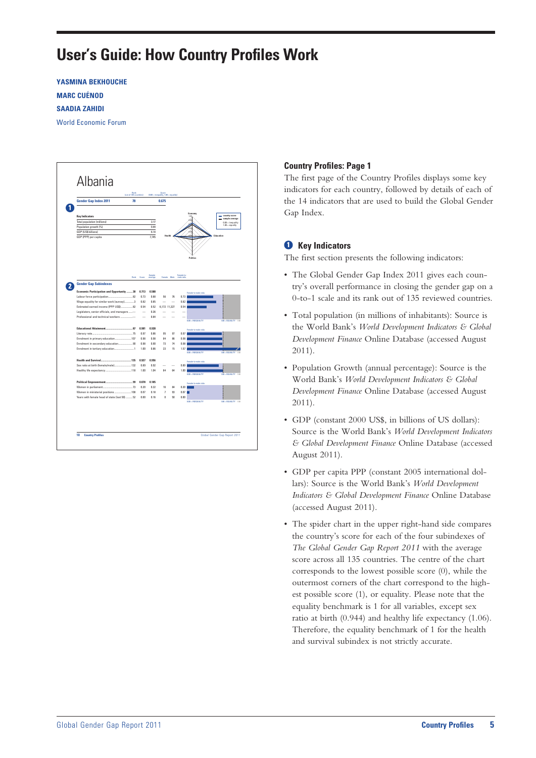# **User's Guide: How Country Profiles Work**

**YASMINA BEKHOUCHE MARC CUÉNOD SAADIA ZAHIDI** World Economic Forum



# **Country Profiles: Page 1**

The first page of the Country Profiles displays some key indicators for each country, followed by details of each of the 14 indicators that are used to build the Global Gender Gap Index.

# $\bullet$  Key Indicators

The first section presents the following indicators:

- The Global Gender Gap Index 2011 gives each country's overall performance in closing the gender gap on a 0-to-1 scale and its rank out of 135 reviewed countries.
- • Total population (in millions of inhabitants): Source is the World Bank's *World Development Indicators & Global Development Finance* Online Database (accessed August 2011).
- • Population Growth (annual percentage): Source is the World Bank's *World Development Indicators & Global Development Finance* Online Database (accessed August 2011).
- GDP (constant 2000 US\$, in billions of US dollars): Source is the World Bank's *World Development Indicators & Global Development Finance* Online Database (accessed August 2011).
- • GDP per capita PPP (constant 2005 international dollars): Source is the World Bank's *World Development Indicators & Global Development Finance* Online Database (accessed August 2011).
- The spider chart in the upper right-hand side compares the country's score for each of the four subindexes of *The Global Gender Gap Report 2011* with the average score across all 135 countries. The centre of the chart corresponds to the lowest possible score (0), while the outermost corners of the chart correspond to the highest possible score (1), or equality. Please note that the equality benchmark is 1 for all variables, except sex ratio at birth (0.944) and healthy life expectancy (1.06). Therefore, the equality benchmark of 1 for the health and survival subindex is not strictly accurate.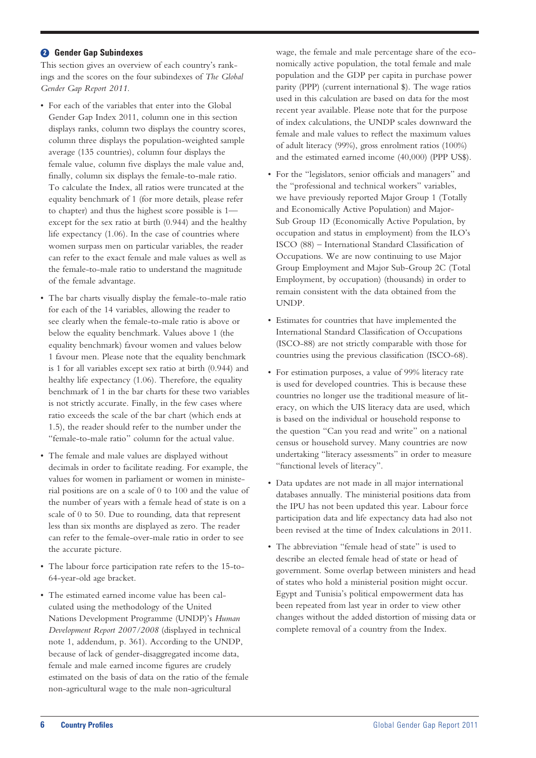# **<sup>2</sup>** Gender Gap Subindexes

This section gives an overview of each country's rankings and the scores on the four subindexes of *The Global Gender Gap Report 2011.*

- For each of the variables that enter into the Global Gender Gap Index 2011, column one in this section displays ranks, column two displays the country scores, column three displays the population-weighted sample average (135 countries), column four displays the female value, column five displays the male value and, finally, column six displays the female-to-male ratio. To calculate the Index, all ratios were truncated at the equality benchmark of 1 (for more details, please refer to chapter) and thus the highest score possible is 1 except for the sex ratio at birth (0.944) and the healthy life expectancy (1.06). In the case of countries where women surpass men on particular variables, the reader can refer to the exact female and male values as well as the female-to-male ratio to understand the magnitude of the female advantage.
- The bar charts visually display the female-to-male ratio for each of the 14 variables, allowing the reader to see clearly when the female-to-male ratio is above or below the equality benchmark. Values above 1 (the equality benchmark) favour women and values below 1 favour men. Please note that the equality benchmark is 1 for all variables except sex ratio at birth (0.944) and healthy life expectancy (1.06). Therefore, the equality benchmark of 1 in the bar charts for these two variables is not strictly accurate. Finally, in the few cases where ratio exceeds the scale of the bar chart (which ends at 1.5), the reader should refer to the number under the "female-to-male ratio" column for the actual value.
- The female and male values are displayed without decimals in order to facilitate reading. For example, the values for women in parliament or women in ministerial positions are on a scale of 0 to 100 and the value of the number of years with a female head of state is on a scale of 0 to 50. Due to rounding, data that represent less than six months are displayed as zero. The reader can refer to the female-over-male ratio in order to see the accurate picture.
- The labour force participation rate refers to the 15-to-64-year-old age bracket.
- • The estimated earned income value has been calculated using the methodology of the United Nations Development Programme (UNDP)'s *Human Development Report 2007/2008* (displayed in technical note 1, addendum, p. 361). According to the UNDP, because of lack of gender-disaggregated income data, female and male earned income figures are crudely estimated on the basis of data on the ratio of the female non-agricultural wage to the male non-agricultural

wage, the female and male percentage share of the economically active population, the total female and male population and the GDP per capita in purchase power parity (PPP) (current international \$). The wage ratios used in this calculation are based on data for the most recent year available. Please note that for the purpose of index calculations, the UNDP scales downward the female and male values to reflect the maximum values of adult literacy (99%), gross enrolment ratios (100%) and the estimated earned income (40,000) (PPP US\$).

- • For the "legislators, senior officials and managers" and the "professional and technical workers" variables, we have previously reported Major Group 1 (Totally and Economically Active Population) and Major-Sub Group 1D (Economically Active Population, by occupation and status in employment) from the ILO's ISCO (88) – International Standard Classification of Occupations. We are now continuing to use Major Group Employment and Major Sub-Group 2C (Total Employment, by occupation) (thousands) in order to remain consistent with the data obtained from the UNDP.
- • Estimates for countries that have implemented the International Standard Classification of Occupations (ISCO-88) are not strictly comparable with those for countries using the previous classification (ISCO-68).
- For estimation purposes, a value of 99% literacy rate is used for developed countries. This is because these countries no longer use the traditional measure of literacy, on which the UIS literacy data are used, which is based on the individual or household response to the question "Can you read and write" on a national census or household survey. Many countries are now undertaking "literacy assessments" in order to measure "functional levels of literacy".
- • Data updates are not made in all major international databases annually. The ministerial positions data from the IPU has not been updated this year. Labour force participation data and life expectancy data had also not been revised at the time of Index calculations in 2011.
- The abbreviation "female head of state" is used to describe an elected female head of state or head of government. Some overlap between ministers and head of states who hold a ministerial position might occur. Egypt and Tunisia's political empowerment data has been repeated from last year in order to view other changes without the added distortion of missing data or complete removal of a country from the Index.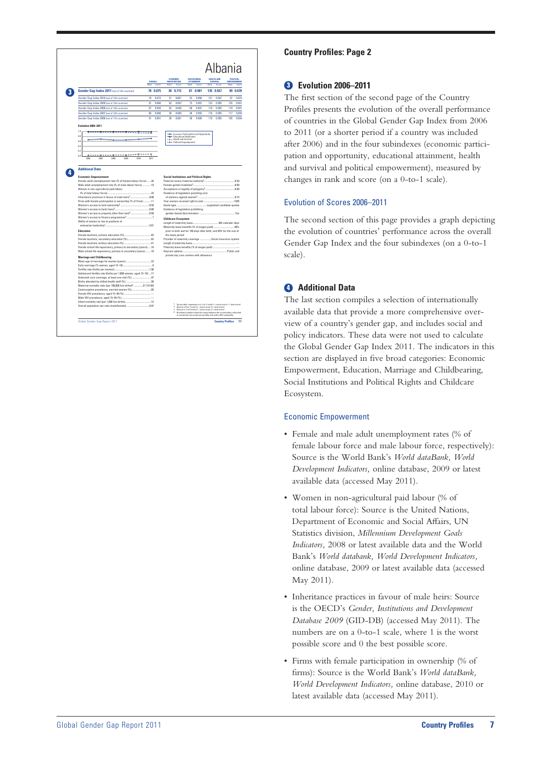|                                                                                                                                                                                                                                                                           |                 |          | <b>FCONOMIC</b> |                                                                              |           | <b>EDUCATIONAL</b>                              |               | <b>HEALTH AND</b>         |                                    | <b>POLITICAL</b> |
|---------------------------------------------------------------------------------------------------------------------------------------------------------------------------------------------------------------------------------------------------------------------------|-----------------|----------|-----------------|------------------------------------------------------------------------------|-----------|-------------------------------------------------|---------------|---------------------------|------------------------------------|------------------|
|                                                                                                                                                                                                                                                                           | OVERALL<br>Rank | Show     | <b>Dask</b>     | <b>PARTICIPATION</b><br><b>County</b>                                        | Dough     | <b>ATTAINMENT</b><br><b>Castle</b>              | <b>Double</b> | SURVIVAL<br><b>Cassin</b> | <b>EMPOWERMENT</b><br><b>David</b> | Seare            |
| Gender Gap Index 2011 (out of 135 countries)                                                                                                                                                                                                                              |                 | 78 0.675 | 38              | 0.713                                                                        | 87        | 0.981                                           | 135           | 0.927                     | 99                                 | 0.078            |
| Gender Gap Index 2010 (out of 134 countries)                                                                                                                                                                                                                              | 78              | 0.673    | 51              | 0.681                                                                        | R9        | n gas                                           | 131           | 0.937                     | 97                                 | nma              |
| Gender Gap Index 2009 (out of 134 countries)                                                                                                                                                                                                                              | 91              | 0.660    | 63              | 0.653                                                                        | 73        | 0.991                                           | 122           | 0.955                     | 125                                | 0.041            |
| Gender Gap Index 2008 (out of 130 countries)                                                                                                                                                                                                                              | Ŕ7              | 0.658    | Ŕ2              | 0.649                                                                        | <b>GR</b> | 0.991                                           | 118           | 0.955                     | 119                                | 0.041            |
| Gender Gap Index 2007 (out of 128 countries)                                                                                                                                                                                                                              | 66              | 0.668    | 36              | 0.689                                                                        | 48        | 0.992                                           | 116           | 0.955                     | 117                                | 0.038            |
| Gender Gap Index 2006 (out of 115 countries)                                                                                                                                                                                                                              | Ŕ1              | 0.661    | <b>SR</b>       | 0.661                                                                        | 5Ŕ        | 0.989                                           | 110           | 0.955                     | 105                                | n rea            |
| <b>Evolution 2006-2011</b>                                                                                                                                                                                                                                                |                 |          |                 |                                                                              |           |                                                 |               |                           |                                    |                  |
| 10<br>-- <del>8----8----</del><br>0.8                                                                                                                                                                                                                                     |                 |          |                 | - Economic Participation and Opportunity<br>Educational Attainment           |           |                                                 |               |                           |                                    |                  |
| 0.R                                                                                                                                                                                                                                                                       |                 |          |                 | - O - Health and Survival                                                    |           |                                                 |               |                           |                                    |                  |
| 04                                                                                                                                                                                                                                                                        |                 |          |                 | - O - Political Empowerment                                                  |           |                                                 |               |                           |                                    |                  |
| n2                                                                                                                                                                                                                                                                        |                 |          |                 |                                                                              |           |                                                 |               |                           |                                    |                  |
| -0---------<br>ò<br>$- - - -$<br>n n                                                                                                                                                                                                                                      |                 |          |                 |                                                                              |           |                                                 |               |                           |                                    |                  |
| 2005<br>2008<br>2007<br>2009<br>2010                                                                                                                                                                                                                                      | 2011            |          |                 |                                                                              |           |                                                 |               |                           |                                    |                  |
| Female adult unemployment rate (% of female labour force) 28<br>Male adult unemployment rate (% of male labour force)  19<br>Women in non-agricultural paid labour<br>(% of total labour force)<br>$-33$<br>Firms with female participation in ownership (% of firms)  11 |                 |          |                 | Existence of legislation punishing acts                                      |           | <b>Social Institutions and Political Rights</b> |               |                           |                                    |                  |
| Ability of women to rise to positions of<br>5.67                                                                                                                                                                                                                          |                 |          |                 | Existence of legislation prohibiting<br><b>Childcare Ecosystem</b>           |           |                                                 |               |                           |                                    |                  |
| <b>Education</b>                                                                                                                                                                                                                                                          |                 |          |                 | prior to birth and for 150 days after birth, and 50% for the rest of         |           |                                                 |               |                           |                                    |                  |
|                                                                                                                                                                                                                                                                           |                 |          |                 | the leave period                                                             |           |                                                 |               |                           |                                    |                  |
|                                                                                                                                                                                                                                                                           |                 |          |                 | Provider of maternity coverage  Social insurance system                      |           |                                                 |               |                           |                                    |                  |
| Female school life expectancy, primary to secondary (years)10                                                                                                                                                                                                             |                 |          |                 |                                                                              |           |                                                 |               |                           |                                    |                  |
| Male school life expectancy, primary to secondary (years) 10                                                                                                                                                                                                              |                 |          |                 |                                                                              |           |                                                 |               |                           |                                    |                  |
| <b>Marriage and Childbearing</b>                                                                                                                                                                                                                                          |                 |          |                 | private day care centres with allowance                                      |           |                                                 |               |                           |                                    |                  |
|                                                                                                                                                                                                                                                                           |                 |          |                 |                                                                              |           |                                                 |               |                           |                                    |                  |
|                                                                                                                                                                                                                                                                           |                 |          |                 |                                                                              |           |                                                 |               |                           |                                    |                  |
| Fertility rate (births per woman)<br>Adolescent fertility rate (births per 1,000 women, aged 15-19)17                                                                                                                                                                     |                 |          |                 |                                                                              |           |                                                 |               |                           |                                    |                  |
|                                                                                                                                                                                                                                                                           |                 |          |                 |                                                                              |           |                                                 |               |                           |                                    |                  |
|                                                                                                                                                                                                                                                                           |                 |          |                 |                                                                              |           |                                                 |               |                           |                                    |                  |
| Maternal mortality ratio (per 100,000 live births) <sup>4</sup> 31 [19-50]                                                                                                                                                                                                |                 |          |                 |                                                                              |           |                                                 |               |                           |                                    |                  |
|                                                                                                                                                                                                                                                                           |                 |          |                 |                                                                              |           |                                                 |               |                           |                                    |                  |
|                                                                                                                                                                                                                                                                           |                 |          |                 |                                                                              |           |                                                 |               |                           |                                    |                  |
|                                                                                                                                                                                                                                                                           |                 |          |                 | 1 Survey data, responses on a 1-to-7 scale (1 = worst score, 7 = best score) |           |                                                 |               |                           |                                    |                  |

# **Country Profiles: Page 2**

# **Evolution 2006–2011**

The first section of the second page of the Country Profiles presents the evolution of the overall performance of countries in the Global Gender Gap Index from 2006 to 2011 (or a shorter period if a country was included after 2006) and in the four subindexes (economic participation and opportunity, educational attainment, health and survival and political empowerment), measured by changes in rank and score (on a 0-to-1 scale).

## Evolution of Scores 2006–2011

The second section of this page provides a graph depicting the evolution of countries' performance across the overall Gender Gap Index and the four subindexes (on a 0-to-1 scale).

# **<sup><b>a**</sup> Additional Data

The last section compiles a selection of internationally available data that provide a more comprehensive overview of a country's gender gap, and includes social and policy indicators. These data were not used to calculate the Global Gender Gap Index 2011. The indicators in this section are displayed in five broad categories: Economic Empowerment, Education, Marriage and Childbearing, Social Institutions and Political Rights and Childcare Ecosystem.

## Economic Empowerment

- Female and male adult unemployment rates (% of female labour force and male labour force, respectively): Source is the World Bank's *World dataBank, World Development Indicators,* online database, 2009 or latest available data (accessed May 2011).
- • Women in non-agricultural paid labour (% of total labour force): Source is the United Nations, Department of Economic and Social Affairs, UN Statistics division, *Millennium Development Goals Indicators,* 2008 or latest available data and the World Bank's *World databank, World Development Indicators,* online database, 2009 or latest available data (accessed May 2011).
- • Inheritance practices in favour of male heirs: Source is the OECD's *Gender, Institutions and Development Database 2009* (GID-DB) (accessed May 2011). The numbers are on a 0-to-1 scale, where 1 is the worst possible score and 0 the best possible score.
- Firms with female participation in ownership (% of firms): Source is the World Bank's *World dataBank, World Development Indicators,* online database, 2010 or latest available data (accessed May 2011).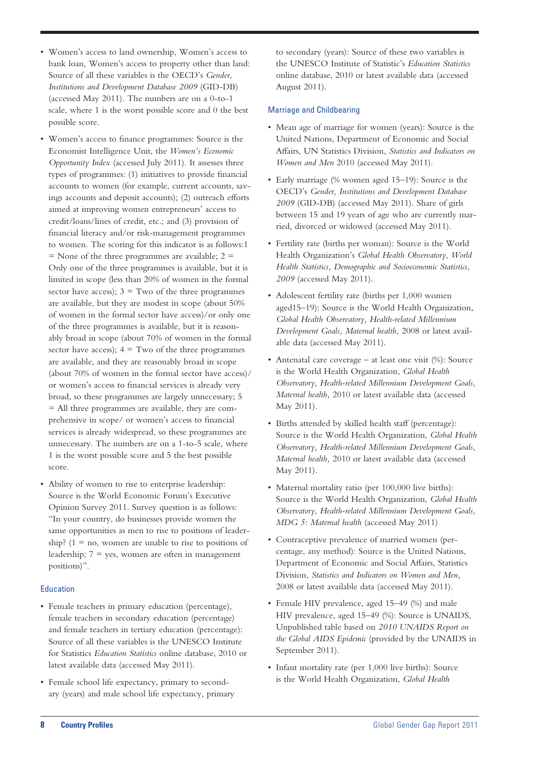- • Women's access to land ownership, Women's access to bank loan, Women's access to property other than land: Source of all these variables is the OECD's *Gender, Institutions and Development Database 2009* (GID-DB) (accessed May 2011). The numbers are on a 0-to-1 scale, where 1 is the worst possible score and 0 the best possible score.
- • Women's access to finance programmes: Source is the Economist Intelligence Unit, the *Women's Economic Opportunity Index* (accessed July 2011). It assesses three types of programmes: (1) initiatives to provide financial accounts to women (for example, current accounts, savings accounts and deposit accounts); (2) outreach efforts aimed at improving women entrepreneurs' access to credit/loans/lines of credit, etc.; and (3) provision of financial literacy and/or risk-management programmes to women. The scoring for this indicator is as follows:1  $=$  None of the three programmes are available;  $2 =$ Only one of the three programmes is available, but it is limited in scope (less than 20% of women in the formal sector have access);  $3 = Two$  of the three programmes are available, but they are modest in scope (about 50% of women in the formal sector have access)/or only one of the three programmes is available, but it is reasonably broad in scope (about 70% of women in the formal sector have access);  $4 = Two$  of the three programmes are available, and they are reasonably broad in scope (about 70% of women in the formal sector have access)/ or women's access to financial services is already very broad, so these programmes are largely unnecessary; 5 = All three programmes are available, they are comprehensive in scope/ or women's access to financial services is already widespread, so these programmes are unnecessary. The numbers are on a 1-to-5 scale, where 1 is the worst possible score and 5 the best possible score.
- Ability of women to rise to enterprise leadership: Source is the World Economic Forum's Executive Opinion Survey 2011. Survey question is as follows: "In your country, do businesses provide women the same opportunities as men to rise to positions of leadership?  $(1 = no$ , women are unable to rise to positions of leadership;  $7 = yes$ , women are often in management positions)".

## Education

- Female teachers in primary education (percentage), female teachers in secondary education (percentage) and female teachers in tertiary education (percentage): Source of all these variables is the UNESCO Institute for Statistics *Education Statistics* online database, 2010 or latest available data (accessed May 2011).
- • Female school life expectancy, primary to secondary (years) and male school life expectancy, primary

to secondary (years): Source of these two variables is the UNESCO Institute of Statistic's *Education Statistics* online database, 2010 or latest available data (accessed August 2011).

#### Marriage and Childbearing

- • Mean age of marriage for women (years): Source is the United Nations, Department of Economic and Social Affairs, UN Statistics Division, *Statistics and Indicators on Women and Men* 2010 (accessed May 2011).
- Early marriage (% women aged 15–19): Source is the OECD's *Gender, Institutions and Development Database 2009* (GID-DB) (accessed May 2011). Share of girls between 15 and 19 years of age who are currently married, divorced or widowed (accessed May 2011).
- • Fertility rate (births per woman): Source is the World Health Organization's *Global Health Observatory, World Health Statistics, Demographic and Socioeconomic Statistics, 2009* (accessed May 2011).
- Adolescent fertility rate (births per 1,000 women aged15–19): Source is the World Health Organization, *Global Health Observatory, Health-related Millennium Development Goals, Maternal health,* 2008 or latest available data (accessed May 2011).
- Antenatal care coverage at least one visit  $(\%)$ : Source is the World Health Organization, *Global Health Observatory, Health-related Millennium Development Goals, Maternal health,* 2010 or latest available data (accessed May 2011).
- Births attended by skilled health staff (percentage): Source is the World Health Organization, *Global Health Observatory, Health-related Millennium Development Goals, Maternal health,* 2010 or latest available data (accessed May 2011).
- Maternal mortality ratio (per 100,000 live births): Source is the World Health Organization, *Global Health Observatory, Health-related Millennium Development Goals, MDG 5: Maternal health* (accessed May 2011)
- • Contraceptive prevalence of married women (percentage, any method): Source is the United Nations, Department of Economic and Social Affairs, Statistics Division, *Statistics and Indicators on Women and Men,* 2008 or latest available data (accessed May 2011).
- Female HIV prevalence, aged 15–49 (%) and male HIV prevalence, aged 15–49 (%): Source is UNAIDS, Unpublished table based on *2010 UNAIDS Report on the Global AIDS Epidemic* (provided by the UNAIDS in September 2011).
- Infant mortality rate (per 1,000 live births): Source is the World Health Organization, *Global Health*